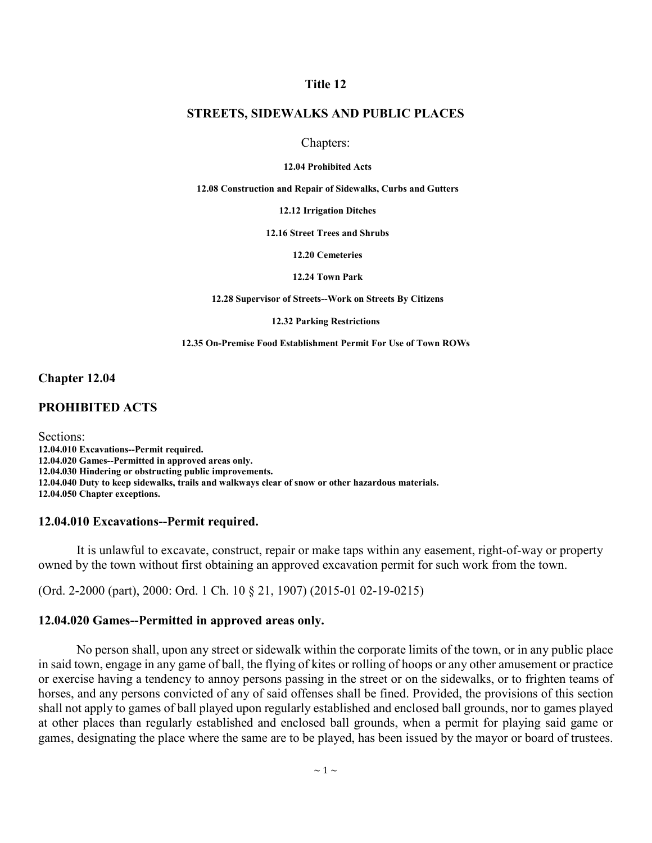### **Title 12**

### **STREETS, SIDEWALKS AND PUBLIC PLACES**

#### Chapters:

#### **12.04 Prohibited Acts**

**12.08 Construction and Repair of Sidewalks, Curbs and Gutters**

**12.12 Irrigation Ditches**

**12.16 Street Trees and Shrubs**

**12.20 Cemeteries**

**12.24 Town Park**

**12.28 Supervisor of Streets--Work on Streets By Citizens**

**12.32 Parking Restrictions**

**12.35 On-Premise Food Establishment Permit For Use of Town ROWs**

**Chapter 12.04**

### **PROHIBITED ACTS**

Sections: **12.04.010 Excavations--Permit required. 12.04.020 Games--Permitted in approved areas only. 12.04.030 Hindering or obstructing public improvements. 12.04.040 Duty to keep sidewalks, trails and walkways clear of snow or other hazardous materials. 12.04.050 Chapter exceptions.**

### **12.04.010 Excavations--Permit required.**

It is unlawful to excavate, construct, repair or make taps within any easement, right-of-way or property owned by the town without first obtaining an approved excavation permit for such work from the town.

(Ord. 2-2000 (part), 2000: Ord. 1 Ch. 10 § 21, 1907) (2015-01 02-19-0215)

### **12.04.020 Games--Permitted in approved areas only.**

No person shall, upon any street or sidewalk within the corporate limits of the town, or in any public place in said town, engage in any game of ball, the flying of kites or rolling of hoops or any other amusement or practice or exercise having a tendency to annoy persons passing in the street or on the sidewalks, or to frighten teams of horses, and any persons convicted of any of said offenses shall be fined. Provided, the provisions of this section shall not apply to games of ball played upon regularly established and enclosed ball grounds, nor to games played at other places than regularly established and enclosed ball grounds, when a permit for playing said game or games, designating the place where the same are to be played, has been issued by the mayor or board of trustees.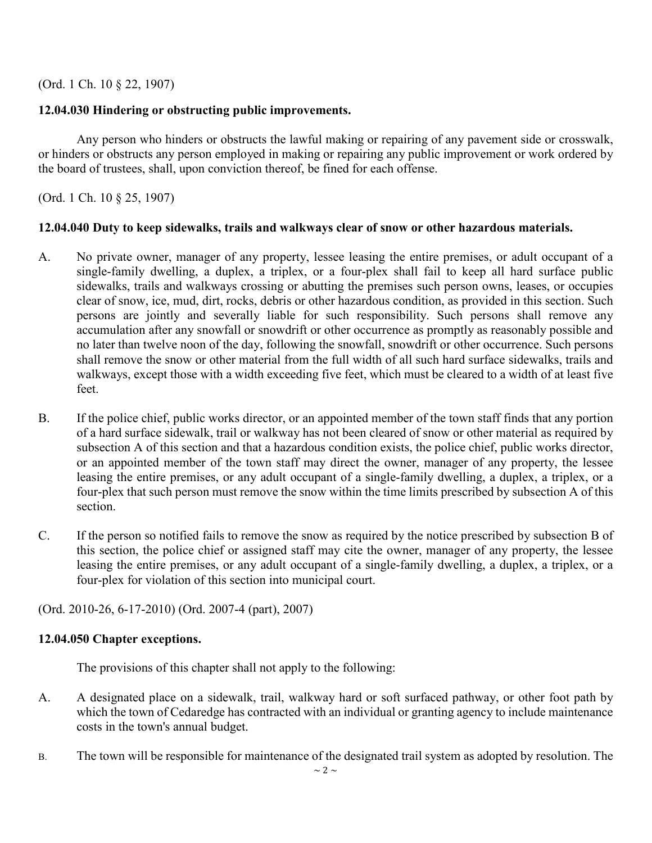(Ord. 1 Ch. 10 § 22, 1907)

# **12.04.030 Hindering or obstructing public improvements.**

Any person who hinders or obstructs the lawful making or repairing of any pavement side or crosswalk, or hinders or obstructs any person employed in making or repairing any public improvement or work ordered by the board of trustees, shall, upon conviction thereof, be fined for each offense.

(Ord. 1 Ch. 10 § 25, 1907)

# **12.04.040 Duty to keep sidewalks, trails and walkways clear of snow or other hazardous materials.**

- A. No private owner, manager of any property, lessee leasing the entire premises, or adult occupant of a single-family dwelling, a duplex, a triplex, or a four-plex shall fail to keep all hard surface public sidewalks, trails and walkways crossing or abutting the premises such person owns, leases, or occupies clear of snow, ice, mud, dirt, rocks, debris or other hazardous condition, as provided in this section. Such persons are jointly and severally liable for such responsibility. Such persons shall remove any accumulation after any snowfall or snowdrift or other occurrence as promptly as reasonably possible and no later than twelve noon of the day, following the snowfall, snowdrift or other occurrence. Such persons shall remove the snow or other material from the full width of all such hard surface sidewalks, trails and walkways, except those with a width exceeding five feet, which must be cleared to a width of at least five feet.
- B. If the police chief, public works director, or an appointed member of the town staff finds that any portion of a hard surface sidewalk, trail or walkway has not been cleared of snow or other material as required by subsection A of this section and that a hazardous condition exists, the police chief, public works director, or an appointed member of the town staff may direct the owner, manager of any property, the lessee leasing the entire premises, or any adult occupant of a single-family dwelling, a duplex, a triplex, or a four-plex that such person must remove the snow within the time limits prescribed by subsection A of this section.
- C. If the person so notified fails to remove the snow as required by the notice prescribed by subsection B of this section, the police chief or assigned staff may cite the owner, manager of any property, the lessee leasing the entire premises, or any adult occupant of a single-family dwelling, a duplex, a triplex, or a four-plex for violation of this section into municipal court.

(Ord. 2010-26, 6-17-2010) (Ord. 2007-4 (part), 2007)

# **12.04.050 Chapter exceptions.**

The provisions of this chapter shall not apply to the following:

- A. A designated place on a sidewalk, trail, walkway hard or soft surfaced pathway, or other foot path by which the town of Cedaredge has contracted with an individual or granting agency to include maintenance costs in the town's annual budget.
- B. The town will be responsible for maintenance of the designated trail system as adopted by resolution. The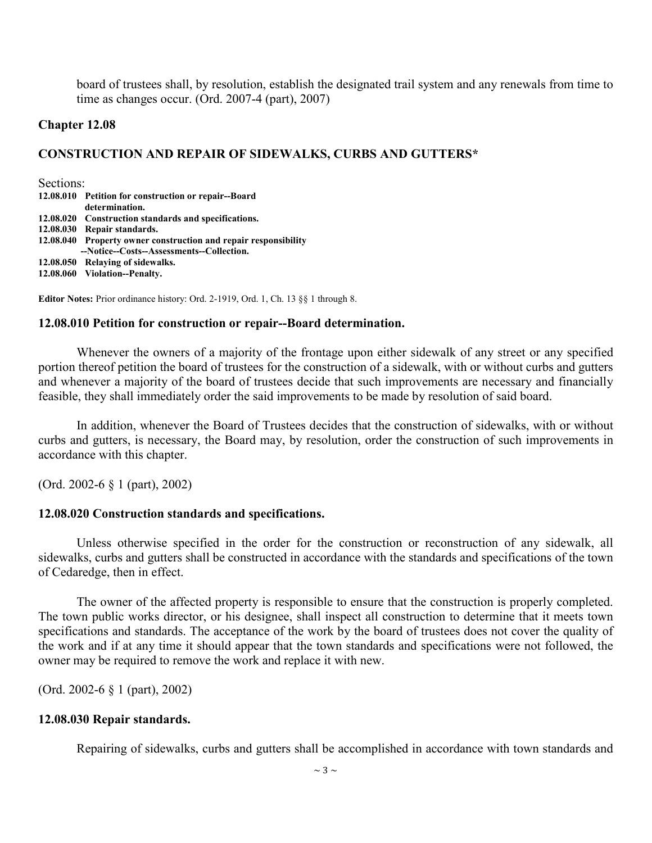board of trustees shall, by resolution, establish the designated trail system and any renewals from time to time as changes occur. (Ord. 2007-4 (part), 2007)

### **Chapter 12.08**

### **CONSTRUCTION AND REPAIR OF SIDEWALKS, CURBS AND GUTTERS\***

Sections:

|           | 12.08.010 Petition for construction or repair--Board<br>determination. |
|-----------|------------------------------------------------------------------------|
|           | 12.08.020 Construction standards and specifications.                   |
| 12.08.030 | Repair standards.                                                      |
|           | 12.08.040 Property owner construction and repair responsibility        |
|           | --Notice--Costs--Assessments--Collection.                              |
|           | 12.08.050 Relaying of sidewalks.                                       |
|           | 12.08.060 Violation--Penalty.                                          |

**Editor Notes:** Prior ordinance history: Ord. 2-1919, Ord. 1, Ch. 13 §§ 1 through 8.

### **12.08.010 Petition for construction or repair--Board determination.**

Whenever the owners of a majority of the frontage upon either sidewalk of any street or any specified portion thereof petition the board of trustees for the construction of a sidewalk, with or without curbs and gutters and whenever a majority of the board of trustees decide that such improvements are necessary and financially feasible, they shall immediately order the said improvements to be made by resolution of said board.

In addition, whenever the Board of Trustees decides that the construction of sidewalks, with or without curbs and gutters, is necessary, the Board may, by resolution, order the construction of such improvements in accordance with this chapter.

(Ord. 2002-6 § 1 (part), 2002)

#### **12.08.020 Construction standards and specifications.**

Unless otherwise specified in the order for the construction or reconstruction of any sidewalk, all sidewalks, curbs and gutters shall be constructed in accordance with the standards and specifications of the town of Cedaredge, then in effect.

The owner of the affected property is responsible to ensure that the construction is properly completed. The town public works director, or his designee, shall inspect all construction to determine that it meets town specifications and standards. The acceptance of the work by the board of trustees does not cover the quality of the work and if at any time it should appear that the town standards and specifications were not followed, the owner may be required to remove the work and replace it with new.

(Ord. 2002-6 § 1 (part), 2002)

### **12.08.030 Repair standards.**

Repairing of sidewalks, curbs and gutters shall be accomplished in accordance with town standards and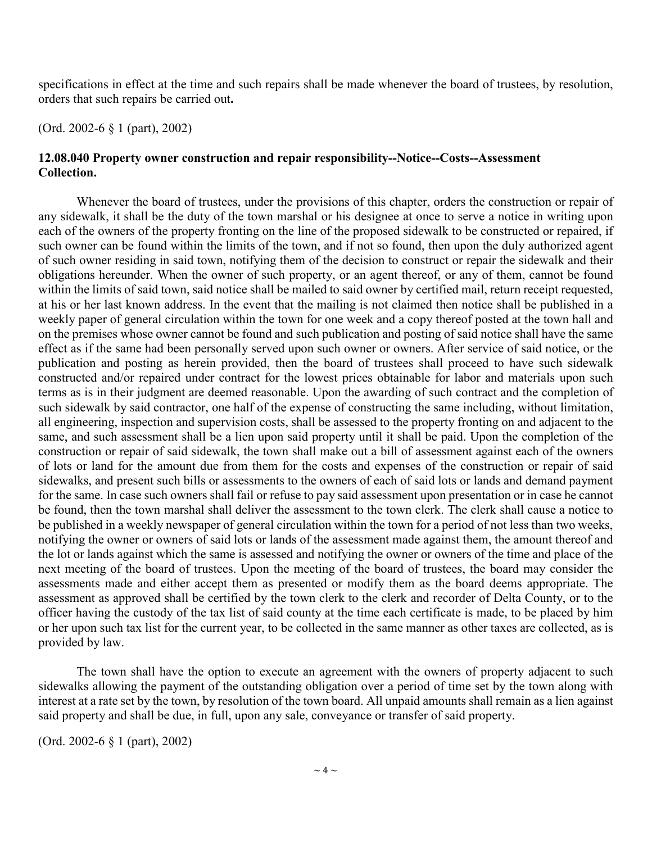specifications in effect at the time and such repairs shall be made whenever the board of trustees, by resolution, orders that such repairs be carried out**.**

(Ord. 2002-6 § 1 (part), 2002)

# **12.08.040 Property owner construction and repair responsibility--Notice--Costs--Assessment Collection.**

Whenever the board of trustees, under the provisions of this chapter, orders the construction or repair of any sidewalk, it shall be the duty of the town marshal or his designee at once to serve a notice in writing upon each of the owners of the property fronting on the line of the proposed sidewalk to be constructed or repaired, if such owner can be found within the limits of the town, and if not so found, then upon the duly authorized agent of such owner residing in said town, notifying them of the decision to construct or repair the sidewalk and their obligations hereunder. When the owner of such property, or an agent thereof, or any of them, cannot be found within the limits of said town, said notice shall be mailed to said owner by certified mail, return receipt requested, at his or her last known address. In the event that the mailing is not claimed then notice shall be published in a weekly paper of general circulation within the town for one week and a copy thereof posted at the town hall and on the premises whose owner cannot be found and such publication and posting of said notice shall have the same effect as if the same had been personally served upon such owner or owners. After service of said notice, or the publication and posting as herein provided, then the board of trustees shall proceed to have such sidewalk constructed and/or repaired under contract for the lowest prices obtainable for labor and materials upon such terms as is in their judgment are deemed reasonable. Upon the awarding of such contract and the completion of such sidewalk by said contractor, one half of the expense of constructing the same including, without limitation, all engineering, inspection and supervision costs, shall be assessed to the property fronting on and adjacent to the same, and such assessment shall be a lien upon said property until it shall be paid. Upon the completion of the construction or repair of said sidewalk, the town shall make out a bill of assessment against each of the owners of lots or land for the amount due from them for the costs and expenses of the construction or repair of said sidewalks, and present such bills or assessments to the owners of each of said lots or lands and demand payment for the same. In case such owners shall fail or refuse to pay said assessment upon presentation or in case he cannot be found, then the town marshal shall deliver the assessment to the town clerk. The clerk shall cause a notice to be published in a weekly newspaper of general circulation within the town for a period of not less than two weeks, notifying the owner or owners of said lots or lands of the assessment made against them, the amount thereof and the lot or lands against which the same is assessed and notifying the owner or owners of the time and place of the next meeting of the board of trustees. Upon the meeting of the board of trustees, the board may consider the assessments made and either accept them as presented or modify them as the board deems appropriate. The assessment as approved shall be certified by the town clerk to the clerk and recorder of Delta County, or to the officer having the custody of the tax list of said county at the time each certificate is made, to be placed by him or her upon such tax list for the current year, to be collected in the same manner as other taxes are collected, as is provided by law.

The town shall have the option to execute an agreement with the owners of property adjacent to such sidewalks allowing the payment of the outstanding obligation over a period of time set by the town along with interest at a rate set by the town, by resolution of the town board. All unpaid amounts shall remain as a lien against said property and shall be due, in full, upon any sale, conveyance or transfer of said property.

(Ord. 2002-6 § 1 (part), 2002)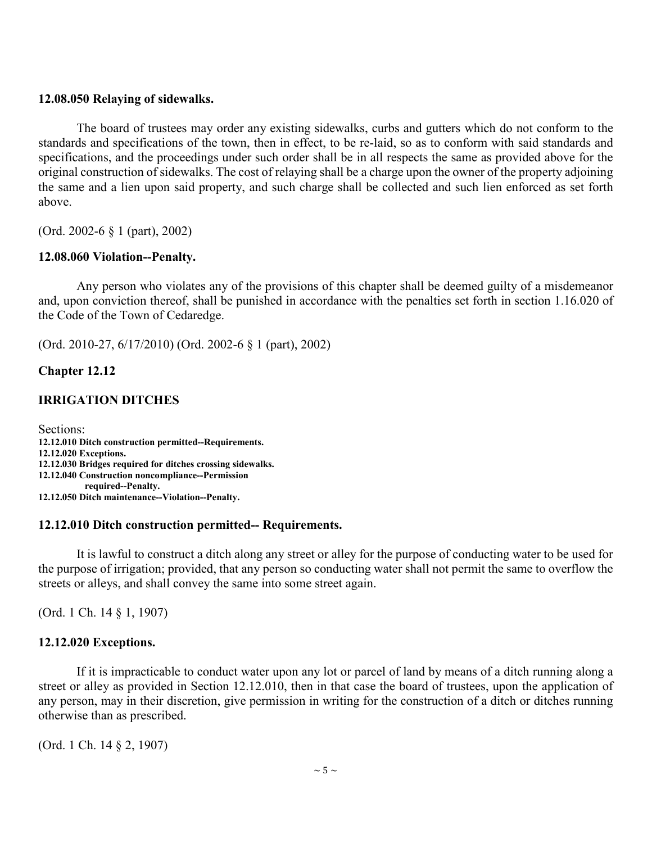### **12.08.050 Relaying of sidewalks.**

The board of trustees may order any existing sidewalks, curbs and gutters which do not conform to the standards and specifications of the town, then in effect, to be re-laid, so as to conform with said standards and specifications, and the proceedings under such order shall be in all respects the same as provided above for the original construction of sidewalks. The cost of relaying shall be a charge upon the owner of the property adjoining the same and a lien upon said property, and such charge shall be collected and such lien enforced as set forth above.

(Ord. 2002-6 § 1 (part), 2002)

### **12.08.060 Violation--Penalty.**

Any person who violates any of the provisions of this chapter shall be deemed guilty of a misdemeanor and, upon conviction thereof, shall be punished in accordance with the penalties set forth in section 1.16.020 of the Code of the Town of Cedaredge.

(Ord. 2010-27, 6/17/2010) (Ord. 2002-6 § 1 (part), 2002)

### **Chapter 12.12**

### **IRRIGATION DITCHES**

Sections: **12.12.010 Ditch construction permitted--Requirements. 12.12.020 Exceptions. 12.12.030 Bridges required for ditches crossing sidewalks. 12.12.040 Construction noncompliance--Permission required--Penalty. 12.12.050 Ditch maintenance--Violation--Penalty.**

#### **12.12.010 Ditch construction permitted-- Requirements.**

It is lawful to construct a ditch along any street or alley for the purpose of conducting water to be used for the purpose of irrigation; provided, that any person so conducting water shall not permit the same to overflow the streets or alleys, and shall convey the same into some street again.

(Ord. 1 Ch. 14 § 1, 1907)

### **12.12.020 Exceptions.**

If it is impracticable to conduct water upon any lot or parcel of land by means of a ditch running along a street or alley as provided in Section 12.12.010, then in that case the board of trustees, upon the application of any person, may in their discretion, give permission in writing for the construction of a ditch or ditches running otherwise than as prescribed.

(Ord. 1 Ch. 14 § 2, 1907)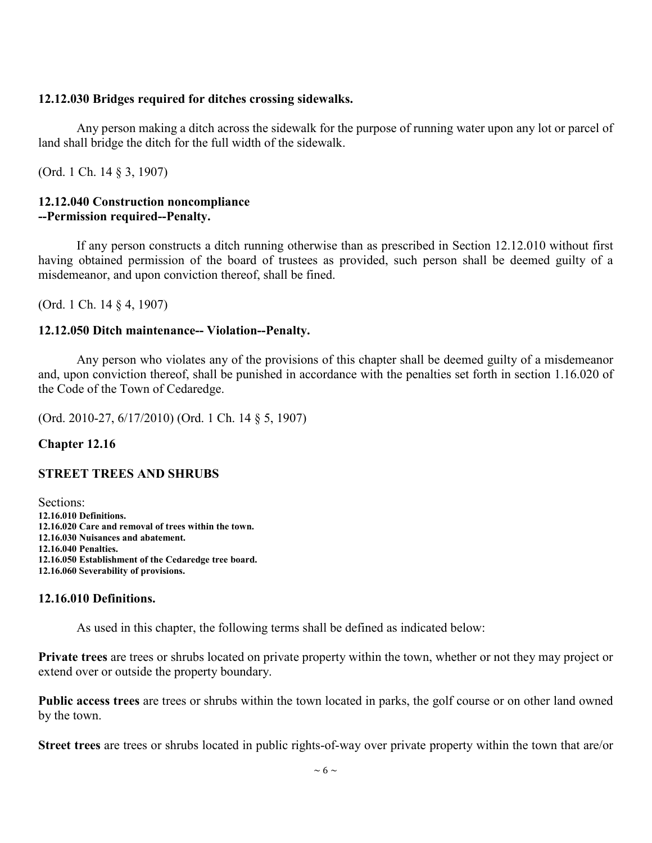# **12.12.030 Bridges required for ditches crossing sidewalks.**

Any person making a ditch across the sidewalk for the purpose of running water upon any lot or parcel of land shall bridge the ditch for the full width of the sidewalk.

(Ord. 1 Ch. 14 § 3, 1907)

### **12.12.040 Construction noncompliance --Permission required--Penalty.**

If any person constructs a ditch running otherwise than as prescribed in Section 12.12.010 without first having obtained permission of the board of trustees as provided, such person shall be deemed guilty of a misdemeanor, and upon conviction thereof, shall be fined.

(Ord. 1 Ch. 14 § 4, 1907)

# **12.12.050 Ditch maintenance-- Violation--Penalty.**

Any person who violates any of the provisions of this chapter shall be deemed guilty of a misdemeanor and, upon conviction thereof, shall be punished in accordance with the penalties set forth in section 1.16.020 of the Code of the Town of Cedaredge.

(Ord. 2010-27, 6/17/2010) (Ord. 1 Ch. 14 § 5, 1907)

# **Chapter 12.16**

# **STREET TREES AND SHRUBS**

Sections: **12.16.010 Definitions. 12.16.020 Care and removal of trees within the town. 12.16.030 Nuisances and abatement. 12.16.040 Penalties. 12.16.050 Establishment of the Cedaredge tree board. 12.16.060 Severability of provisions.**

# **12.16.010 Definitions.**

As used in this chapter, the following terms shall be defined as indicated below:

**Private trees** are trees or shrubs located on private property within the town, whether or not they may project or extend over or outside the property boundary.

**Public access trees** are trees or shrubs within the town located in parks, the golf course or on other land owned by the town.

**Street trees** are trees or shrubs located in public rights-of-way over private property within the town that are/or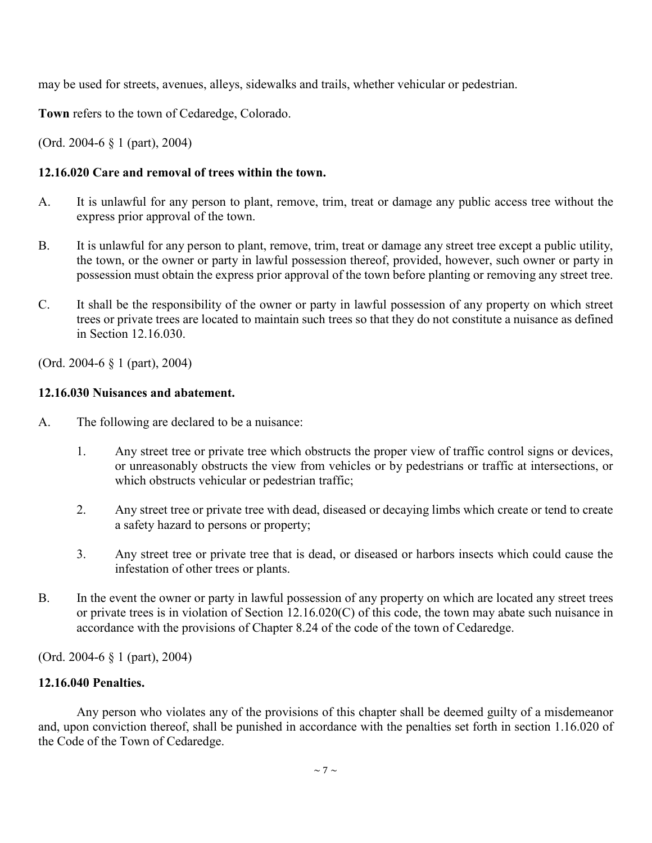may be used for streets, avenues, alleys, sidewalks and trails, whether vehicular or pedestrian.

**Town** refers to the town of Cedaredge, Colorado.

(Ord. 2004-6 § 1 (part), 2004)

# **12.16.020 Care and removal of trees within the town.**

- A. It is unlawful for any person to plant, remove, trim, treat or damage any public access tree without the express prior approval of the town.
- B. It is unlawful for any person to plant, remove, trim, treat or damage any street tree except a public utility, the town, or the owner or party in lawful possession thereof, provided, however, such owner or party in possession must obtain the express prior approval of the town before planting or removing any street tree.
- C. It shall be the responsibility of the owner or party in lawful possession of any property on which street trees or private trees are located to maintain such trees so that they do not constitute a nuisance as defined in Section 12.16.030.

(Ord. 2004-6 § 1 (part), 2004)

# **12.16.030 Nuisances and abatement.**

- A. The following are declared to be a nuisance:
	- 1. Any street tree or private tree which obstructs the proper view of traffic control signs or devices, or unreasonably obstructs the view from vehicles or by pedestrians or traffic at intersections, or which obstructs vehicular or pedestrian traffic;
	- 2. Any street tree or private tree with dead, diseased or decaying limbs which create or tend to create a safety hazard to persons or property;
	- 3. Any street tree or private tree that is dead, or diseased or harbors insects which could cause the infestation of other trees or plants.
- B. In the event the owner or party in lawful possession of any property on which are located any street trees or private trees is in violation of Section 12.16.020(C) of this code, the town may abate such nuisance in accordance with the provisions of Chapter 8.24 of the code of the town of Cedaredge.

(Ord. 2004-6 § 1 (part), 2004)

# **12.16.040 Penalties.**

Any person who violates any of the provisions of this chapter shall be deemed guilty of a misdemeanor and, upon conviction thereof, shall be punished in accordance with the penalties set forth in section 1.16.020 of the Code of the Town of Cedaredge.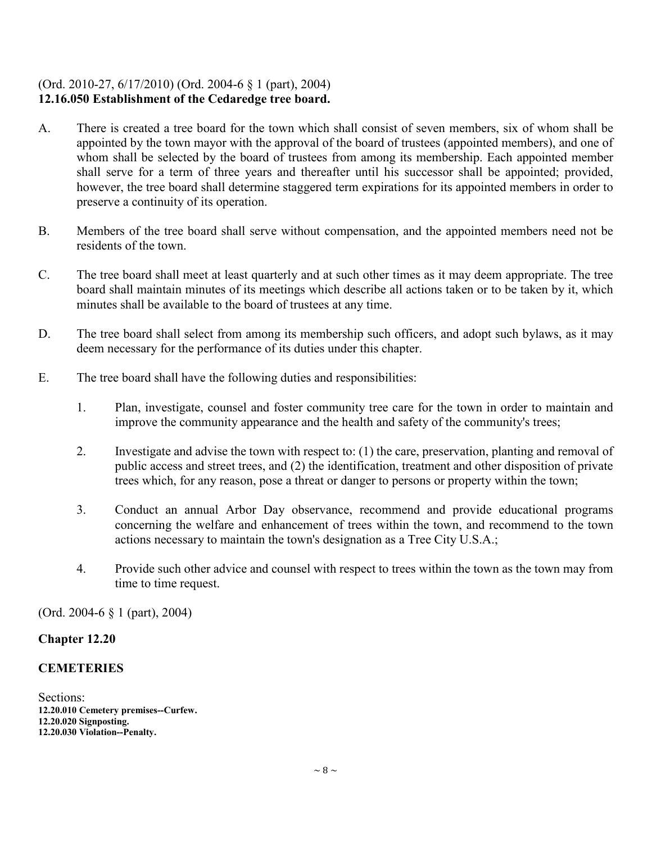# (Ord. 2010-27, 6/17/2010) (Ord. 2004-6 § 1 (part), 2004) **12.16.050 Establishment of the Cedaredge tree board.**

- A. There is created a tree board for the town which shall consist of seven members, six of whom shall be appointed by the town mayor with the approval of the board of trustees (appointed members), and one of whom shall be selected by the board of trustees from among its membership. Each appointed member shall serve for a term of three years and thereafter until his successor shall be appointed; provided, however, the tree board shall determine staggered term expirations for its appointed members in order to preserve a continuity of its operation.
- B. Members of the tree board shall serve without compensation, and the appointed members need not be residents of the town.
- C. The tree board shall meet at least quarterly and at such other times as it may deem appropriate. The tree board shall maintain minutes of its meetings which describe all actions taken or to be taken by it, which minutes shall be available to the board of trustees at any time.
- D. The tree board shall select from among its membership such officers, and adopt such bylaws, as it may deem necessary for the performance of its duties under this chapter.
- E. The tree board shall have the following duties and responsibilities:
	- 1. Plan, investigate, counsel and foster community tree care for the town in order to maintain and improve the community appearance and the health and safety of the community's trees;
	- 2. Investigate and advise the town with respect to: (1) the care, preservation, planting and removal of public access and street trees, and (2) the identification, treatment and other disposition of private trees which, for any reason, pose a threat or danger to persons or property within the town;
	- 3. Conduct an annual Arbor Day observance, recommend and provide educational programs concerning the welfare and enhancement of trees within the town, and recommend to the town actions necessary to maintain the town's designation as a Tree City U.S.A.;
	- 4. Provide such other advice and counsel with respect to trees within the town as the town may from time to time request.

(Ord. 2004-6 § 1 (part), 2004)

# **Chapter 12.20**

# **CEMETERIES**

Sections: **12.20.010 Cemetery premises--Curfew. 12.20.020 Signposting. 12.20.030 Violation--Penalty.**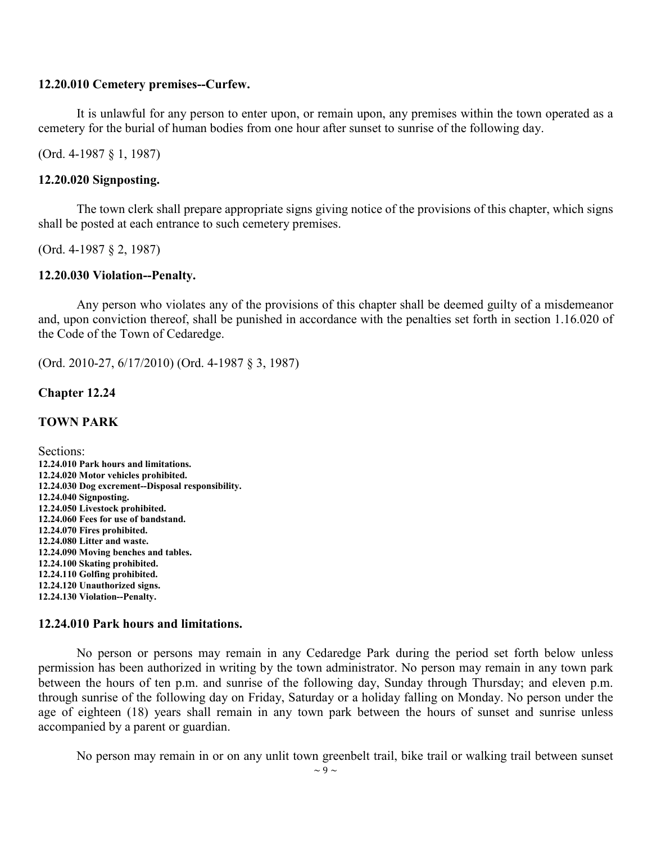### **12.20.010 Cemetery premises--Curfew.**

It is unlawful for any person to enter upon, or remain upon, any premises within the town operated as a cemetery for the burial of human bodies from one hour after sunset to sunrise of the following day.

(Ord. 4-1987 § 1, 1987)

#### **12.20.020 Signposting.**

The town clerk shall prepare appropriate signs giving notice of the provisions of this chapter, which signs shall be posted at each entrance to such cemetery premises.

(Ord. 4-1987 § 2, 1987)

### **12.20.030 Violation--Penalty.**

Any person who violates any of the provisions of this chapter shall be deemed guilty of a misdemeanor and, upon conviction thereof, shall be punished in accordance with the penalties set forth in section 1.16.020 of the Code of the Town of Cedaredge.

(Ord. 2010-27, 6/17/2010) (Ord. 4-1987 § 3, 1987)

### **Chapter 12.24**

### **TOWN PARK**

Sections: **12.24.010 Park hours and limitations. 12.24.020 Motor vehicles prohibited. 12.24.030 Dog excrement--Disposal responsibility. 12.24.040 Signposting. 12.24.050 Livestock prohibited. 12.24.060 Fees for use of bandstand. 12.24.070 Fires prohibited. 12.24.080 Litter and waste. 12.24.090 Moving benches and tables. 12.24.100 Skating prohibited. 12.24.110 Golfing prohibited. 12.24.120 Unauthorized signs. 12.24.130 Violation--Penalty.**

### **12.24.010 Park hours and limitations.**

No person or persons may remain in any Cedaredge Park during the period set forth below unless permission has been authorized in writing by the town administrator. No person may remain in any town park between the hours of ten p.m. and sunrise of the following day, Sunday through Thursday; and eleven p.m. through sunrise of the following day on Friday, Saturday or a holiday falling on Monday. No person under the age of eighteen (18) years shall remain in any town park between the hours of sunset and sunrise unless accompanied by a parent or guardian.

No person may remain in or on any unlit town greenbelt trail, bike trail or walking trail between sunset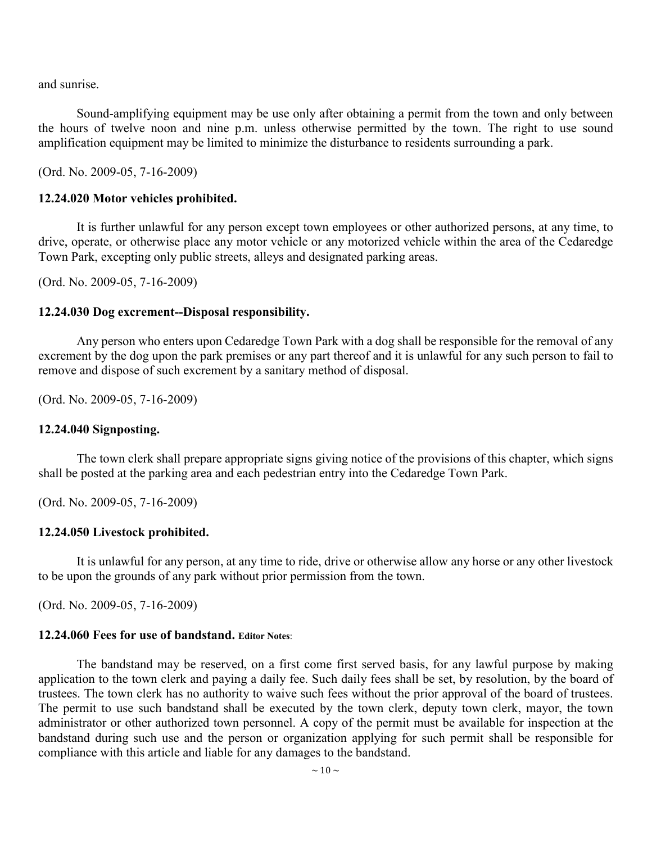and sunrise.

Sound-amplifying equipment may be use only after obtaining a permit from the town and only between the hours of twelve noon and nine p.m. unless otherwise permitted by the town. The right to use sound amplification equipment may be limited to minimize the disturbance to residents surrounding a park.

(Ord. No. 2009-05, 7-16-2009)

#### **12.24.020 Motor vehicles prohibited.**

It is further unlawful for any person except town employees or other authorized persons, at any time, to drive, operate, or otherwise place any motor vehicle or any motorized vehicle within the area of the Cedaredge Town Park, excepting only public streets, alleys and designated parking areas.

(Ord. No. 2009-05, 7-16-2009)

### **12.24.030 Dog excrement--Disposal responsibility.**

Any person who enters upon Cedaredge Town Park with a dog shall be responsible for the removal of any excrement by the dog upon the park premises or any part thereof and it is unlawful for any such person to fail to remove and dispose of such excrement by a sanitary method of disposal.

(Ord. No. 2009-05, 7-16-2009)

### **12.24.040 Signposting.**

The town clerk shall prepare appropriate signs giving notice of the provisions of this chapter, which signs shall be posted at the parking area and each pedestrian entry into the Cedaredge Town Park.

(Ord. No. 2009-05, 7-16-2009)

### **12.24.050 Livestock prohibited.**

It is unlawful for any person, at any time to ride, drive or otherwise allow any horse or any other livestock to be upon the grounds of any park without prior permission from the town.

(Ord. No. 2009-05, 7-16-2009)

### **12.24.060 Fees for use of bandstand. Editor Notes**:

The bandstand may be reserved, on a first come first served basis, for any lawful purpose by making application to the town clerk and paying a daily fee. Such daily fees shall be set, by resolution, by the board of trustees. The town clerk has no authority to waive such fees without the prior approval of the board of trustees. The permit to use such bandstand shall be executed by the town clerk, deputy town clerk, mayor, the town administrator or other authorized town personnel. A copy of the permit must be available for inspection at the bandstand during such use and the person or organization applying for such permit shall be responsible for compliance with this article and liable for any damages to the bandstand.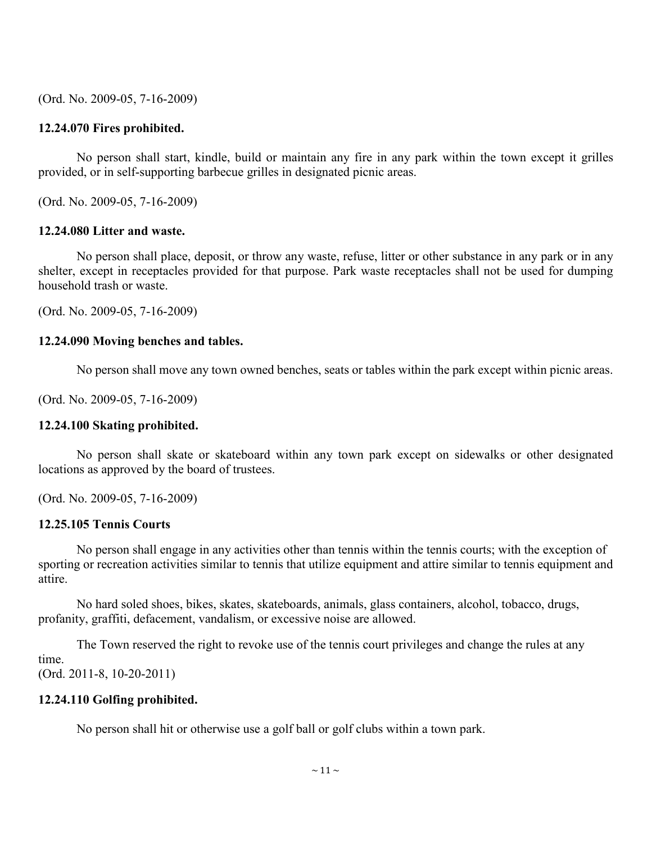(Ord. No. 2009-05, 7-16-2009)

# **12.24.070 Fires prohibited.**

No person shall start, kindle, build or maintain any fire in any park within the town except it grilles provided, or in self-supporting barbecue grilles in designated picnic areas.

(Ord. No. 2009-05, 7-16-2009)

### **12.24.080 Litter and waste.**

No person shall place, deposit, or throw any waste, refuse, litter or other substance in any park or in any shelter, except in receptacles provided for that purpose. Park waste receptacles shall not be used for dumping household trash or waste.

(Ord. No. 2009-05, 7-16-2009)

# **12.24.090 Moving benches and tables.**

No person shall move any town owned benches, seats or tables within the park except within picnic areas.

(Ord. No. 2009-05, 7-16-2009)

### **12.24.100 Skating prohibited.**

No person shall skate or skateboard within any town park except on sidewalks or other designated locations as approved by the board of trustees.

(Ord. No. 2009-05, 7-16-2009)

# **12.25.105 Tennis Courts**

No person shall engage in any activities other than tennis within the tennis courts; with the exception of sporting or recreation activities similar to tennis that utilize equipment and attire similar to tennis equipment and attire.

No hard soled shoes, bikes, skates, skateboards, animals, glass containers, alcohol, tobacco, drugs, profanity, graffiti, defacement, vandalism, or excessive noise are allowed.

The Town reserved the right to revoke use of the tennis court privileges and change the rules at any time.

(Ord. 2011-8, 10-20-2011)

# **12.24.110 Golfing prohibited.**

No person shall hit or otherwise use a golf ball or golf clubs within a town park.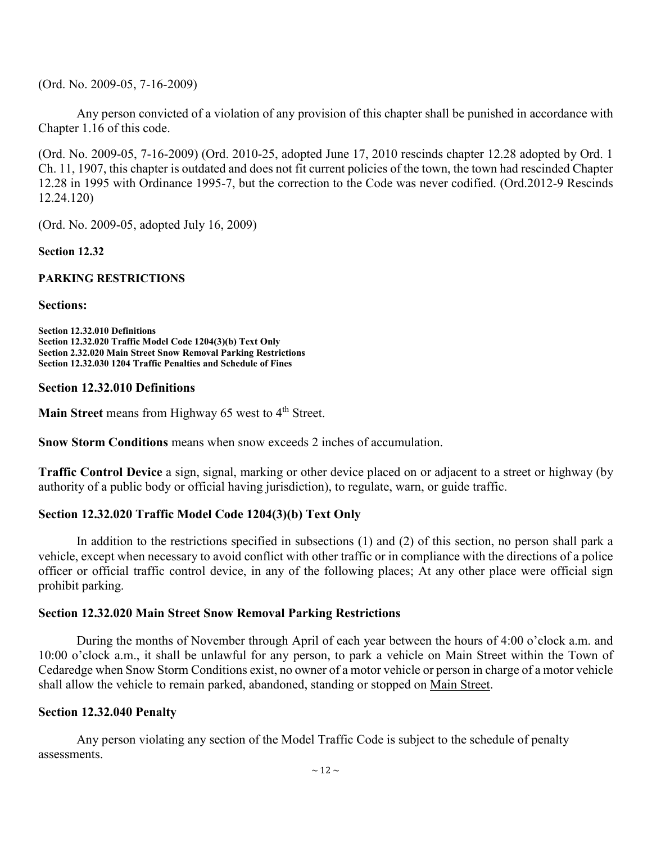(Ord. No. 2009-05, 7-16-2009)

Any person convicted of a violation of any provision of this chapter shall be punished in accordance with Chapter 1.16 of this code.

(Ord. No. 2009-05, 7-16-2009) (Ord. 2010-25, adopted June 17, 2010 rescinds chapter 12.28 adopted by Ord. 1 Ch. 11, 1907, this chapter is outdated and does not fit current policies of the town, the town had rescinded Chapter 12.28 in 1995 with Ordinance 1995-7, but the correction to the Code was never codified. (Ord.2012-9 Rescinds 12.24.120)

(Ord. No. 2009-05, adopted July 16, 2009)

**Section 12.32**

### **PARKING RESTRICTIONS**

**Sections:**

**Section 12.32.010 Definitions Section 12.32.020 Traffic Model Code 1204(3)(b) Text Only Section 2.32.020 Main Street Snow Removal Parking Restrictions Section 12.32.030 1204 Traffic Penalties and Schedule of Fines** 

### **Section 12.32.010 Definitions**

**Main Street** means from Highway 65 west to 4<sup>th</sup> Street.

**Snow Storm Conditions** means when snow exceeds 2 inches of accumulation.

**Traffic Control Device** a sign, signal, marking or other device placed on or adjacent to a street or highway (by authority of a public body or official having jurisdiction), to regulate, warn, or guide traffic.

# **Section 12.32.020 Traffic Model Code 1204(3)(b) Text Only**

In addition to the restrictions specified in subsections (1) and (2) of this section, no person shall park a vehicle, except when necessary to avoid conflict with other traffic or in compliance with the directions of a police officer or official traffic control device, in any of the following places; At any other place were official sign prohibit parking.

# **Section 12.32.020 Main Street Snow Removal Parking Restrictions**

During the months of November through April of each year between the hours of 4:00 o'clock a.m. and 10:00 o'clock a.m., it shall be unlawful for any person, to park a vehicle on Main Street within the Town of Cedaredge when Snow Storm Conditions exist, no owner of a motor vehicle or person in charge of a motor vehicle shall allow the vehicle to remain parked, abandoned, standing or stopped on Main Street.

# **Section 12.32.040 Penalty**

Any person violating any section of the Model Traffic Code is subject to the schedule of penalty assessments.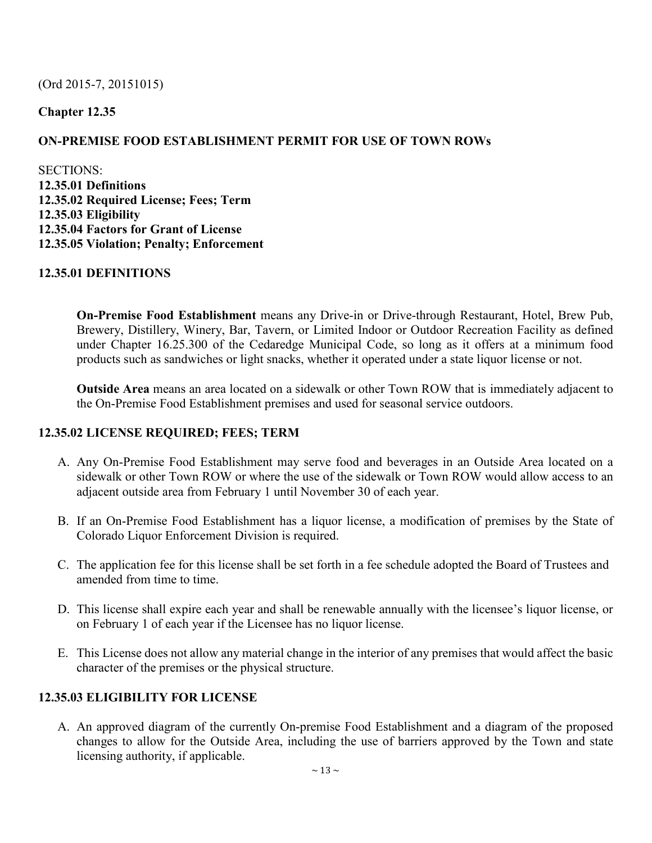# (Ord 2015-7, 20151015)

# **Chapter 12.35**

# **ON-PREMISE FOOD ESTABLISHMENT PERMIT FOR USE OF TOWN ROWs**

SECTIONS: **12.35.01 Definitions 12.35.02 Required License; Fees; Term 12.35.03 Eligibility 12.35.04 Factors for Grant of License 12.35.05 Violation; Penalty; Enforcement** 

# **12.35.01 DEFINITIONS**

**On-Premise Food Establishment** means any Drive-in or Drive-through Restaurant, Hotel, Brew Pub, Brewery, Distillery, Winery, Bar, Tavern, or Limited Indoor or Outdoor Recreation Facility as defined under Chapter 16.25.300 of the Cedaredge Municipal Code, so long as it offers at a minimum food products such as sandwiches or light snacks, whether it operated under a state liquor license or not.

**Outside Area** means an area located on a sidewalk or other Town ROW that is immediately adjacent to the On-Premise Food Establishment premises and used for seasonal service outdoors.

# **12.35.02 LICENSE REQUIRED; FEES; TERM**

- A. Any On-Premise Food Establishment may serve food and beverages in an Outside Area located on a sidewalk or other Town ROW or where the use of the sidewalk or Town ROW would allow access to an adjacent outside area from February 1 until November 30 of each year.
- B. If an On-Premise Food Establishment has a liquor license, a modification of premises by the State of Colorado Liquor Enforcement Division is required.
- C. The application fee for this license shall be set forth in a fee schedule adopted the Board of Trustees and amended from time to time.
- D. This license shall expire each year and shall be renewable annually with the licensee's liquor license, or on February 1 of each year if the Licensee has no liquor license.
- E. This License does not allow any material change in the interior of any premises that would affect the basic character of the premises or the physical structure.

# **12.35.03 ELIGIBILITY FOR LICENSE**

A. An approved diagram of the currently On-premise Food Establishment and a diagram of the proposed changes to allow for the Outside Area, including the use of barriers approved by the Town and state licensing authority, if applicable.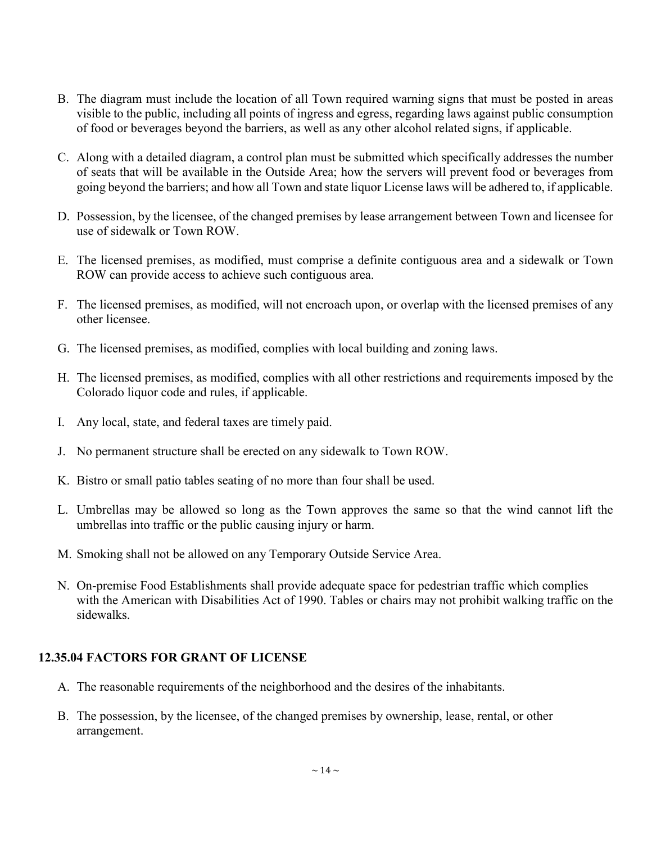- B. The diagram must include the location of all Town required warning signs that must be posted in areas visible to the public, including all points of ingress and egress, regarding laws against public consumption of food or beverages beyond the barriers, as well as any other alcohol related signs, if applicable.
- C. Along with a detailed diagram, a control plan must be submitted which specifically addresses the number of seats that will be available in the Outside Area; how the servers will prevent food or beverages from going beyond the barriers; and how all Town and state liquor License laws will be adhered to, if applicable.
- D. Possession, by the licensee, of the changed premises by lease arrangement between Town and licensee for use of sidewalk or Town ROW.
- E. The licensed premises, as modified, must comprise a definite contiguous area and a sidewalk or Town ROW can provide access to achieve such contiguous area.
- F. The licensed premises, as modified, will not encroach upon, or overlap with the licensed premises of any other licensee.
- G. The licensed premises, as modified, complies with local building and zoning laws.
- H. The licensed premises, as modified, complies with all other restrictions and requirements imposed by the Colorado liquor code and rules, if applicable.
- I. Any local, state, and federal taxes are timely paid.
- J. No permanent structure shall be erected on any sidewalk to Town ROW.
- K. Bistro or small patio tables seating of no more than four shall be used.
- L. Umbrellas may be allowed so long as the Town approves the same so that the wind cannot lift the umbrellas into traffic or the public causing injury or harm.
- M. Smoking shall not be allowed on any Temporary Outside Service Area.
- N. On-premise Food Establishments shall provide adequate space for pedestrian traffic which complies with the American with Disabilities Act of 1990. Tables or chairs may not prohibit walking traffic on the sidewalks.

# **12.35.04 FACTORS FOR GRANT OF LICENSE**

- A. The reasonable requirements of the neighborhood and the desires of the inhabitants.
- B. The possession, by the licensee, of the changed premises by ownership, lease, rental, or other arrangement.